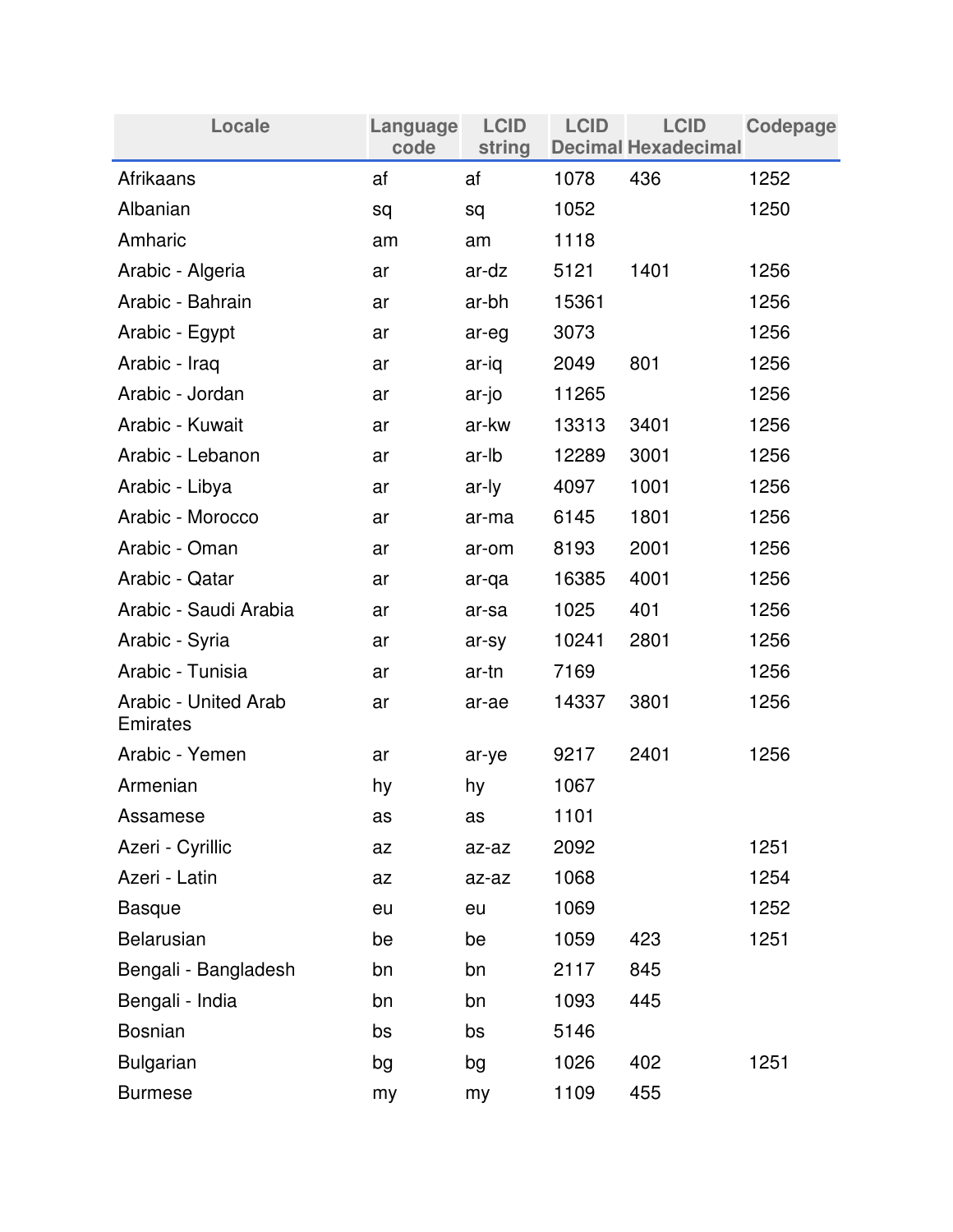| Locale                                  | Language<br>code | <b>LCID</b><br>string | <b>LCID</b> | <b>LCID</b><br><b>Decimal Hexadecimal</b> | <b>Codepage</b> |
|-----------------------------------------|------------------|-----------------------|-------------|-------------------------------------------|-----------------|
| Afrikaans                               | af               | af                    | 1078        | 436                                       | 1252            |
| Albanian                                | sq               | sq                    | 1052        |                                           | 1250            |
| Amharic                                 | am               | am                    | 1118        |                                           |                 |
| Arabic - Algeria                        | ar               | ar-dz                 | 5121        | 1401                                      | 1256            |
| Arabic - Bahrain                        | ar               | ar-bh                 | 15361       |                                           | 1256            |
| Arabic - Egypt                          | ar               | ar-eg                 | 3073        |                                           | 1256            |
| Arabic - Iraq                           | ar               | ar-iq                 | 2049        | 801                                       | 1256            |
| Arabic - Jordan                         | ar               | ar-jo                 | 11265       |                                           | 1256            |
| Arabic - Kuwait                         | ar               | ar-kw                 | 13313       | 3401                                      | 1256            |
| Arabic - Lebanon                        | ar               | ar-lb                 | 12289       | 3001                                      | 1256            |
| Arabic - Libya                          | ar               | ar-ly                 | 4097        | 1001                                      | 1256            |
| Arabic - Morocco                        | ar               | ar-ma                 | 6145        | 1801                                      | 1256            |
| Arabic - Oman                           | ar               | ar-om                 | 8193        | 2001                                      | 1256            |
| Arabic - Qatar                          | ar               | ar-qa                 | 16385       | 4001                                      | 1256            |
| Arabic - Saudi Arabia                   | ar               | ar-sa                 | 1025        | 401                                       | 1256            |
| Arabic - Syria                          | ar               | ar-sy                 | 10241       | 2801                                      | 1256            |
| Arabic - Tunisia                        | ar               | ar-tn                 | 7169        |                                           | 1256            |
| Arabic - United Arab<br><b>Emirates</b> | ar               | ar-ae                 | 14337       | 3801                                      | 1256            |
| Arabic - Yemen                          | ar               | ar-ye                 | 9217        | 2401                                      | 1256            |
| Armenian                                | hy               | hy                    | 1067        |                                           |                 |
| Assamese                                | as               | as                    | 1101        |                                           |                 |
| Azeri - Cyrillic                        | az               | az-az                 | 2092        |                                           | 1251            |
| Azeri - Latin                           | az               | az-az                 | 1068        |                                           | 1254            |
| <b>Basque</b>                           | eu               | eu                    | 1069        |                                           | 1252            |
| <b>Belarusian</b>                       | be               | be                    | 1059        | 423                                       | 1251            |
| Bengali - Bangladesh                    | bn               | bn                    | 2117        | 845                                       |                 |
| Bengali - India                         | bn               | bn                    | 1093        | 445                                       |                 |
| <b>Bosnian</b>                          | bs               | bs                    | 5146        |                                           |                 |
| <b>Bulgarian</b>                        | bg               | bg                    | 1026        | 402                                       | 1251            |
| <b>Burmese</b>                          | my               | my                    | 1109        | 455                                       |                 |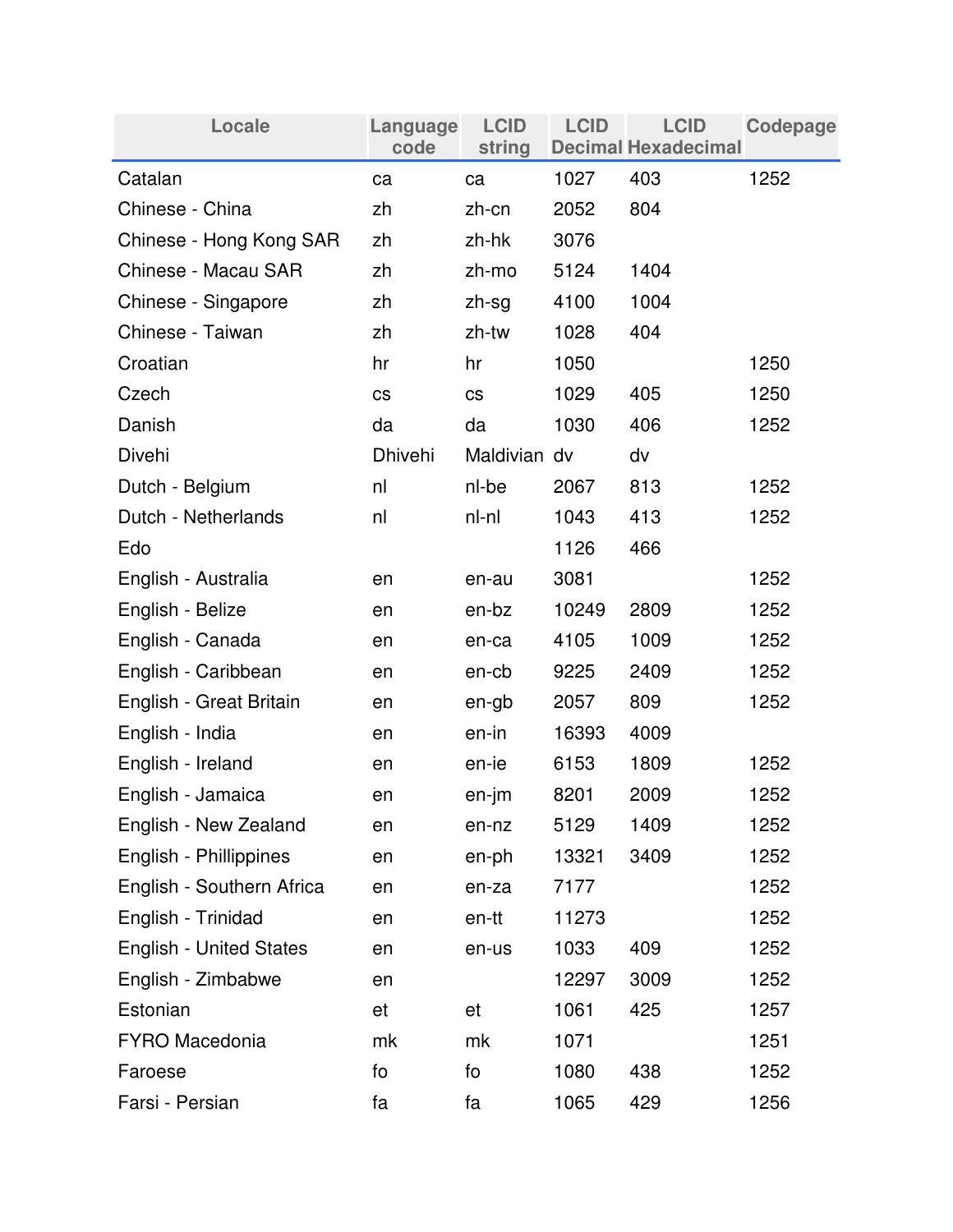| Locale                         | Language<br>code | <b>LCID</b><br>string | <b>LCID</b> | <b>LCID</b><br><b>Decimal Hexadecimal</b> | Codepage |
|--------------------------------|------------------|-----------------------|-------------|-------------------------------------------|----------|
| Catalan                        | ca               | ca                    | 1027        | 403                                       | 1252     |
| Chinese - China                | zh               | zh-cn                 | 2052        | 804                                       |          |
| Chinese - Hong Kong SAR        | zh               | zh-hk                 | 3076        |                                           |          |
| Chinese - Macau SAR            | zh               | zh-mo                 | 5124        | 1404                                      |          |
| Chinese - Singapore            | zh               | zh-sg                 | 4100        | 1004                                      |          |
| Chinese - Taiwan               | zh               | zh-tw                 | 1028        | 404                                       |          |
| Croatian                       | hr               | hr                    | 1050        |                                           | 1250     |
| Czech                          | <b>CS</b>        | <b>CS</b>             | 1029        | 405                                       | 1250     |
| Danish                         | da               | da                    | 1030        | 406                                       | 1252     |
| Divehi                         | <b>Dhivehi</b>   | Maldivian dv          |             | dv                                        |          |
| Dutch - Belgium                | nl               | nl-be                 | 2067        | 813                                       | 1252     |
| Dutch - Netherlands            | nl               | nl-nl                 | 1043        | 413                                       | 1252     |
| Edo                            |                  |                       | 1126        | 466                                       |          |
| English - Australia            | en               | en-au                 | 3081        |                                           | 1252     |
| English - Belize               | en               | en-bz                 | 10249       | 2809                                      | 1252     |
| English - Canada               | en               | en-ca                 | 4105        | 1009                                      | 1252     |
| English - Caribbean            | en               | en-cb                 | 9225        | 2409                                      | 1252     |
| English - Great Britain        | en               | en-gb                 | 2057        | 809                                       | 1252     |
| English - India                | en               | en-in                 | 16393       | 4009                                      |          |
| English - Ireland              | en               | en-ie                 | 6153        | 1809                                      | 1252     |
| English - Jamaica              | en               | en-jm                 | 8201        | 2009                                      | 1252     |
| English - New Zealand          | en               | en-nz                 | 5129        | 1409                                      | 1252     |
| English - Phillippines         | en               | en-ph                 | 13321       | 3409                                      | 1252     |
| English - Southern Africa      | en               | en-za                 | 7177        |                                           | 1252     |
| English - Trinidad             | en               | en-tt                 | 11273       |                                           | 1252     |
| <b>English - United States</b> | en               | en-us                 | 1033        | 409                                       | 1252     |
| English - Zimbabwe             | en               |                       | 12297       | 3009                                      | 1252     |
| Estonian                       | et               | et                    | 1061        | 425                                       | 1257     |
| <b>FYRO Macedonia</b>          | mk               | mk                    | 1071        |                                           | 1251     |
| Faroese                        | fo               | fo                    | 1080        | 438                                       | 1252     |
| Farsi - Persian                | fa               | fa                    | 1065        | 429                                       | 1256     |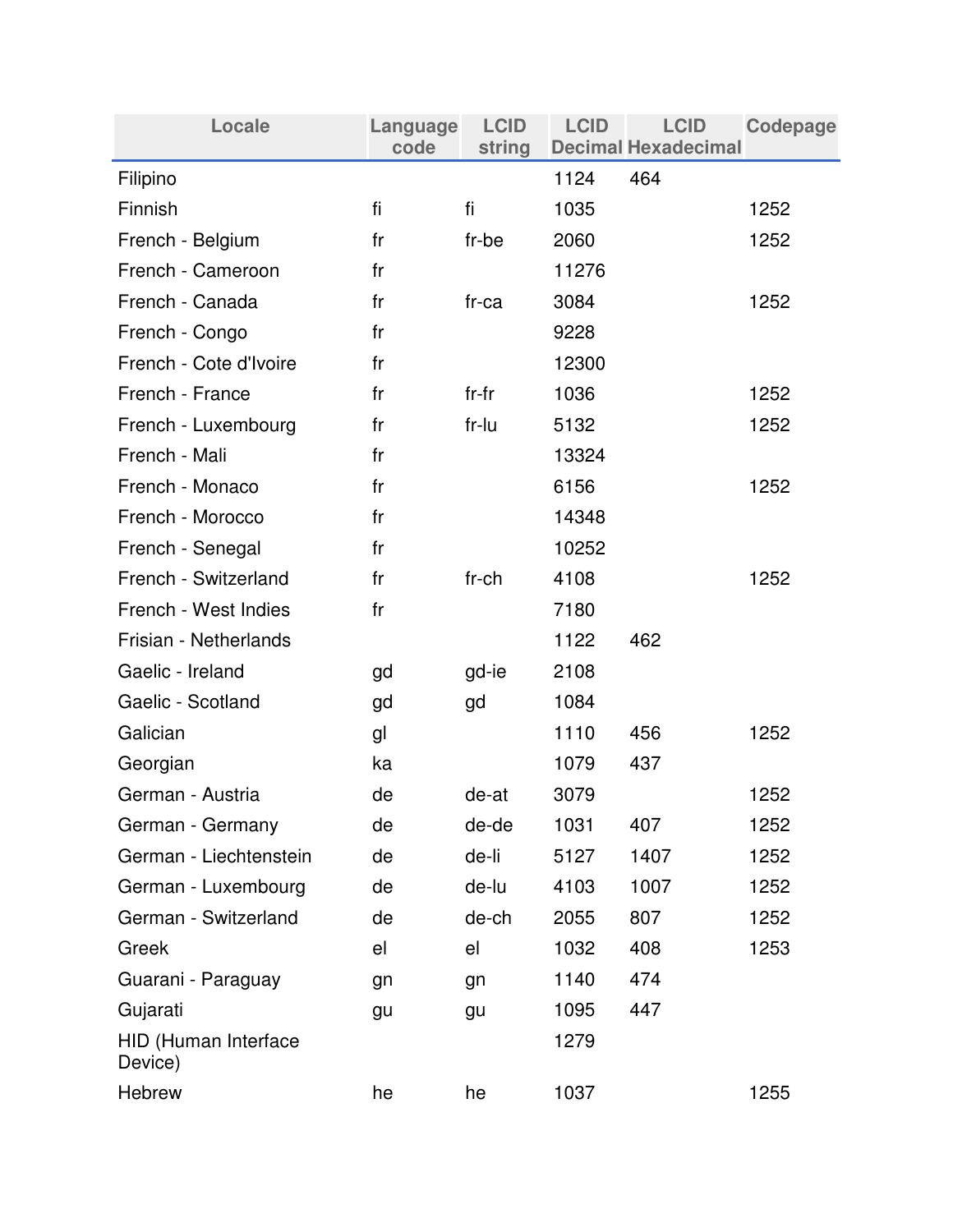| Locale                          | Language<br>code | <b>LCID</b><br>string | <b>LCID</b> | <b>LCID</b><br><b>Decimal Hexadecimal</b> | Codepage |
|---------------------------------|------------------|-----------------------|-------------|-------------------------------------------|----------|
| Filipino                        |                  |                       | 1124        | 464                                       |          |
| Finnish                         | fi               | fi                    | 1035        |                                           | 1252     |
| French - Belgium                | fr               | fr-be                 | 2060        |                                           | 1252     |
| French - Cameroon               | fr               |                       | 11276       |                                           |          |
| French - Canada                 | fr               | $fr-ca$               | 3084        |                                           | 1252     |
| French - Congo                  | fr               |                       | 9228        |                                           |          |
| French - Cote d'Ivoire          | fr               |                       | 12300       |                                           |          |
| French - France                 | fr               | $fr-fr$               | 1036        |                                           | 1252     |
| French - Luxembourg             | fr               | fr-lu                 | 5132        |                                           | 1252     |
| French - Mali                   | fr               |                       | 13324       |                                           |          |
| French - Monaco                 | fr               |                       | 6156        |                                           | 1252     |
| French - Morocco                | fr               |                       | 14348       |                                           |          |
| French - Senegal                | fr               |                       | 10252       |                                           |          |
| French - Switzerland            | fr               | fr-ch                 | 4108        |                                           | 1252     |
| French - West Indies            | fr               |                       | 7180        |                                           |          |
| Frisian - Netherlands           |                  |                       | 1122        | 462                                       |          |
| Gaelic - Ireland                | gd               | gd-ie                 | 2108        |                                           |          |
| Gaelic - Scotland               | gd               | gd                    | 1084        |                                           |          |
| Galician                        | gl               |                       | 1110        | 456                                       | 1252     |
| Georgian                        | ka               |                       | 1079        | 437                                       |          |
| German - Austria                | de               | de-at                 | 3079        |                                           | 1252     |
| German - Germany                | de               | de-de                 | 1031        | 407                                       | 1252     |
| German - Liechtenstein          | de               | de-li                 | 5127        | 1407                                      | 1252     |
| German - Luxembourg             | de               | de-lu                 | 4103        | 1007                                      | 1252     |
| German - Switzerland            | de               | de-ch                 | 2055        | 807                                       | 1252     |
| Greek                           | el               | el                    | 1032        | 408                                       | 1253     |
| Guarani - Paraguay              | gn               | gn                    | 1140        | 474                                       |          |
| Gujarati                        | gu               | gu                    | 1095        | 447                                       |          |
| HID (Human Interface<br>Device) |                  |                       | 1279        |                                           |          |
| Hebrew                          | he               | he                    | 1037        |                                           | 1255     |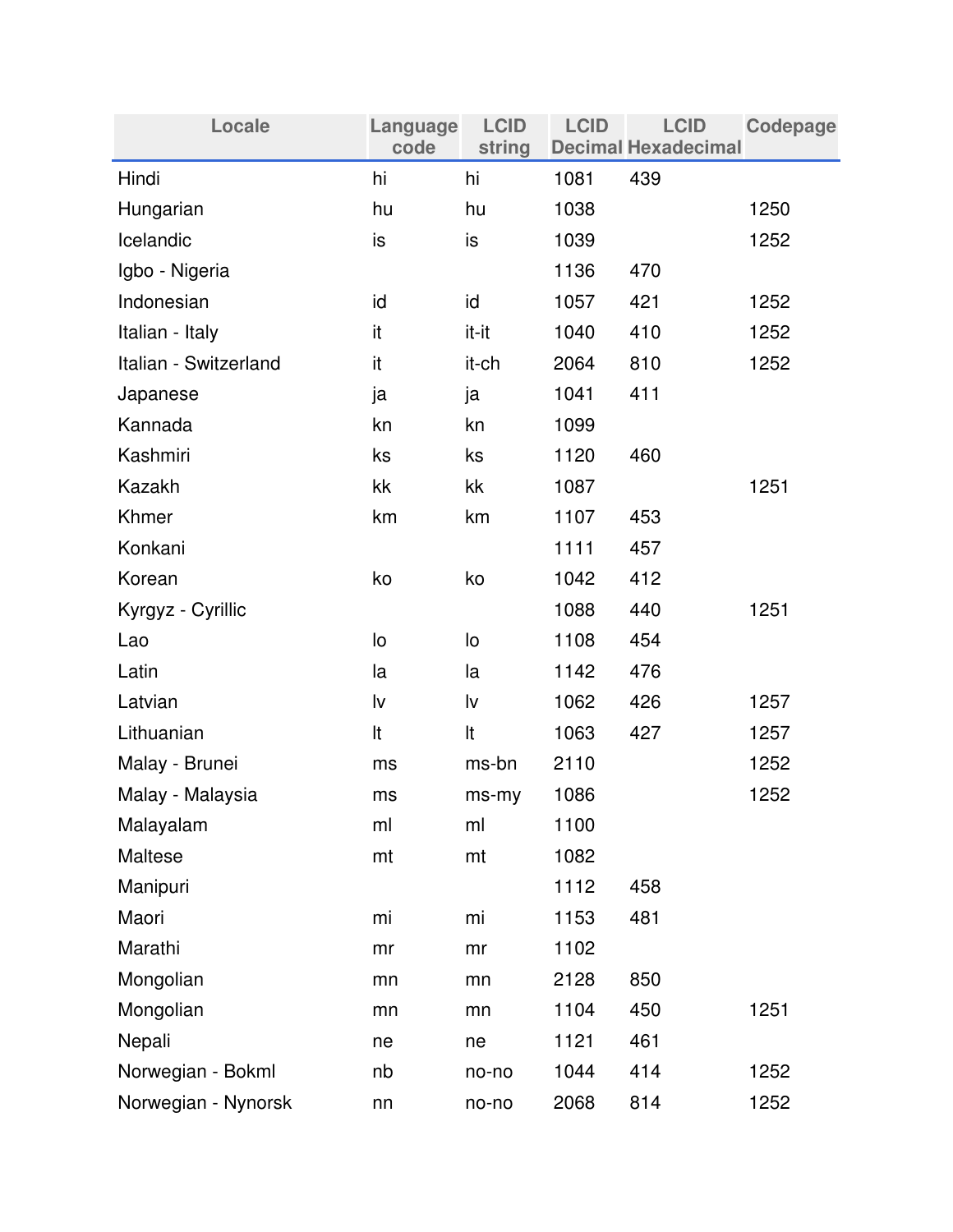| Locale                | Language<br>code | <b>LCID</b><br>string | <b>LCID</b> | <b>LCID</b><br><b>Decimal Hexadecimal</b> | Codepage |
|-----------------------|------------------|-----------------------|-------------|-------------------------------------------|----------|
| Hindi                 | hi               | hi                    | 1081        | 439                                       |          |
| Hungarian             | hu               | hu                    | 1038        |                                           | 1250     |
| Icelandic             | is               | is                    | 1039        |                                           | 1252     |
| Igbo - Nigeria        |                  |                       | 1136        | 470                                       |          |
| Indonesian            | id               | id                    | 1057        | 421                                       | 1252     |
| Italian - Italy       | it               | it-it                 | 1040        | 410                                       | 1252     |
| Italian - Switzerland | it               | it-ch                 | 2064        | 810                                       | 1252     |
| Japanese              | ja               | ja                    | 1041        | 411                                       |          |
| Kannada               | kn               | kn                    | 1099        |                                           |          |
| Kashmiri              | ks               | ks                    | 1120        | 460                                       |          |
| Kazakh                | kk               | kk                    | 1087        |                                           | 1251     |
| Khmer                 | km               | km                    | 1107        | 453                                       |          |
| Konkani               |                  |                       | 1111        | 457                                       |          |
| Korean                | ko               | ko                    | 1042        | 412                                       |          |
| Kyrgyz - Cyrillic     |                  |                       | 1088        | 440                                       | 1251     |
| Lao                   | lo               | lo                    | 1108        | 454                                       |          |
| Latin                 | la               | la                    | 1142        | 476                                       |          |
| Latvian               | lv               | lv                    | 1062        | 426                                       | 1257     |
| Lithuanian            | It               | It                    | 1063        | 427                                       | 1257     |
| Malay - Brunei        | ms               | ms-bn                 | 2110        |                                           | 1252     |
| Malay - Malaysia      | ms               | ms-my                 | 1086        |                                           | 1252     |
| Malayalam             | ml               | ml                    | 1100        |                                           |          |
| Maltese               | mt               | mt                    | 1082        |                                           |          |
| Manipuri              |                  |                       | 1112        | 458                                       |          |
| Maori                 | mi               | mi                    | 1153        | 481                                       |          |
| Marathi               | mr               | mr                    | 1102        |                                           |          |
| Mongolian             | mn               | mn                    | 2128        | 850                                       |          |
| Mongolian             | mn               | mn                    | 1104        | 450                                       | 1251     |
| Nepali                | ne               | ne                    | 1121        | 461                                       |          |
| Norwegian - Bokml     | nb               | no-no                 | 1044        | 414                                       | 1252     |
| Norwegian - Nynorsk   | nn               | no-no                 | 2068        | 814                                       | 1252     |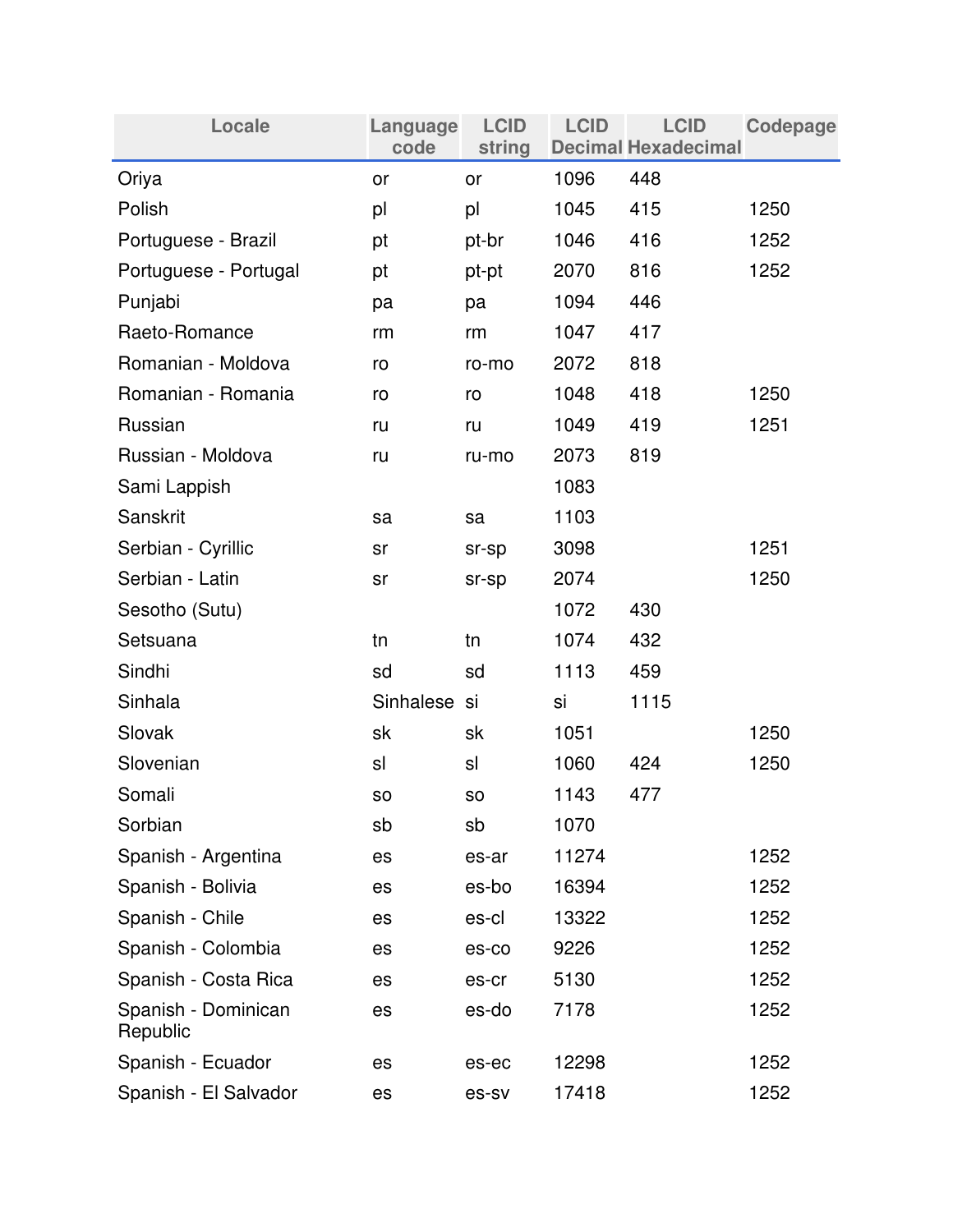| Locale                          | Language<br>code | <b>LCID</b><br>string | <b>LCID</b> | <b>LCID</b><br><b>Decimal Hexadecimal</b> | <b>Codepage</b> |
|---------------------------------|------------------|-----------------------|-------------|-------------------------------------------|-----------------|
| Oriya                           | or               | or                    | 1096        | 448                                       |                 |
| Polish                          | pl               | pl                    | 1045        | 415                                       | 1250            |
| Portuguese - Brazil             | pt               | pt-br                 | 1046        | 416                                       | 1252            |
| Portuguese - Portugal           | pt               | pt-pt                 | 2070        | 816                                       | 1252            |
| Punjabi                         | pa               | pa                    | 1094        | 446                                       |                 |
| Raeto-Romance                   | rm               | rm                    | 1047        | 417                                       |                 |
| Romanian - Moldova              | ro               | ro-mo                 | 2072        | 818                                       |                 |
| Romanian - Romania              | ro               | ro                    | 1048        | 418                                       | 1250            |
| Russian                         | ru               | ru                    | 1049        | 419                                       | 1251            |
| Russian - Moldova               | ru               | ru-mo                 | 2073        | 819                                       |                 |
| Sami Lappish                    |                  |                       | 1083        |                                           |                 |
| Sanskrit                        | sa               | sa                    | 1103        |                                           |                 |
| Serbian - Cyrillic              | sr               | sr-sp                 | 3098        |                                           | 1251            |
| Serbian - Latin                 | sr               | sr-sp                 | 2074        |                                           | 1250            |
| Sesotho (Sutu)                  |                  |                       | 1072        | 430                                       |                 |
| Setsuana                        | tn               | tn                    | 1074        | 432                                       |                 |
| Sindhi                          | sd               | sd                    | 1113        | 459                                       |                 |
| Sinhala                         | Sinhalese si     |                       | si          | 1115                                      |                 |
| Slovak                          | sk               | sk                    | 1051        |                                           | 1250            |
| Slovenian                       | sl               | sl                    | 1060        | 424                                       | 1250            |
| Somali                          | <b>SO</b>        | SO                    | 1143        | 477                                       |                 |
| Sorbian                         | sb               | sb                    | 1070        |                                           |                 |
| Spanish - Argentina             | es               | es-ar                 | 11274       |                                           | 1252            |
| Spanish - Bolivia               | es               | es-bo                 | 16394       |                                           | 1252            |
| Spanish - Chile                 | es               | es-cl                 | 13322       |                                           | 1252            |
| Spanish - Colombia              | es               | es-co                 | 9226        |                                           | 1252            |
| Spanish - Costa Rica            | es               | es-cr                 | 5130        |                                           | 1252            |
| Spanish - Dominican<br>Republic | es               | es-do                 | 7178        |                                           | 1252            |
| Spanish - Ecuador               | es               | es-ec                 | 12298       |                                           | 1252            |
| Spanish - El Salvador           | es               | es-sv                 | 17418       |                                           | 1252            |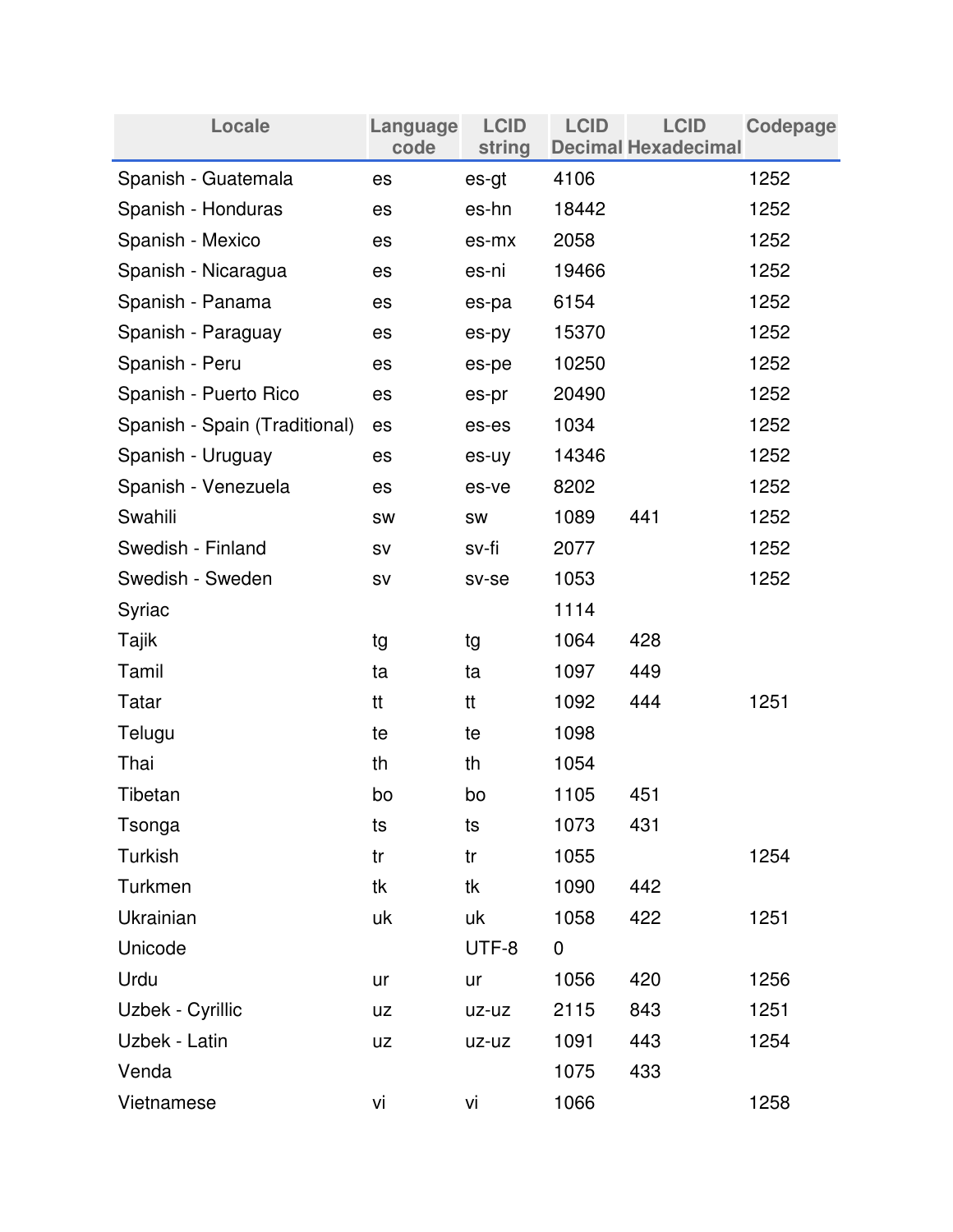| Locale                        | Language<br>code | <b>LCID</b><br>string | <b>LCID</b> | <b>LCID</b><br><b>Decimal Hexadecimal</b> | Codepage |
|-------------------------------|------------------|-----------------------|-------------|-------------------------------------------|----------|
| Spanish - Guatemala           | es               | es-gt                 | 4106        |                                           | 1252     |
| Spanish - Honduras            | es               | es-hn                 | 18442       |                                           | 1252     |
| Spanish - Mexico              | es               | es-mx                 | 2058        |                                           | 1252     |
| Spanish - Nicaragua           | es               | es-ni                 | 19466       |                                           | 1252     |
| Spanish - Panama              | es               | es-pa                 | 6154        |                                           | 1252     |
| Spanish - Paraguay            | es               | es-py                 | 15370       |                                           | 1252     |
| Spanish - Peru                | es               | es-pe                 | 10250       |                                           | 1252     |
| Spanish - Puerto Rico         | es               | es-pr                 | 20490       |                                           | 1252     |
| Spanish - Spain (Traditional) | es               | es-es                 | 1034        |                                           | 1252     |
| Spanish - Uruguay             | es               | es-uy                 | 14346       |                                           | 1252     |
| Spanish - Venezuela           | es               | es-ve                 | 8202        |                                           | 1252     |
| Swahili                       | SW               | SW                    | 1089        | 441                                       | 1252     |
| Swedish - Finland             | SV               | sv-fi                 | 2077        |                                           | 1252     |
| Swedish - Sweden              | SV               | sv-se                 | 1053        |                                           | 1252     |
| Syriac                        |                  |                       | 1114        |                                           |          |
| Tajik                         | tg               | tg                    | 1064        | 428                                       |          |
| Tamil                         | ta               | ta                    | 1097        | 449                                       |          |
| Tatar                         | tt               | tt                    | 1092        | 444                                       | 1251     |
| Telugu                        | te               | te                    | 1098        |                                           |          |
| Thai                          | th               | th                    | 1054        |                                           |          |
| Tibetan                       | bo               | bo                    | 1105        | 451                                       |          |
| Tsonga                        | ts               | ts                    | 1073        | 431                                       |          |
| <b>Turkish</b>                | tr               | tr                    | 1055        |                                           | 1254     |
| Turkmen                       | tk               | tk                    | 1090        | 442                                       |          |
| Ukrainian                     | uk               | uk                    | 1058        | 422                                       | 1251     |
| Unicode                       |                  | UTF-8                 | $\pmb{0}$   |                                           |          |
| Urdu                          | ur               | ur                    | 1056        | 420                                       | 1256     |
| Uzbek - Cyrillic              | <b>UZ</b>        | uz-uz                 | 2115        | 843                                       | 1251     |
| Uzbek - Latin                 | <b>UZ</b>        | uz-uz                 | 1091        | 443                                       | 1254     |
| Venda                         |                  |                       | 1075        | 433                                       |          |
| Vietnamese                    | vi               | vi                    | 1066        |                                           | 1258     |